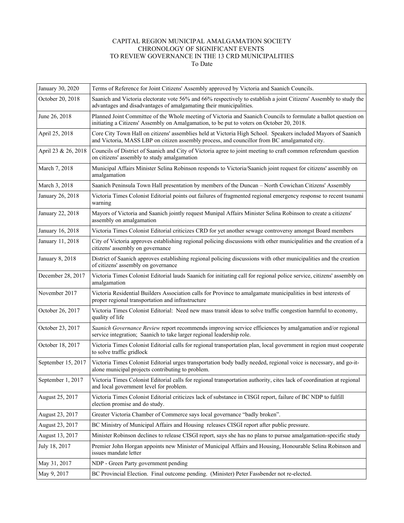## CAPITAL REGION MUNICIPAL AMALGAMATION SOCIETY CHRONOLOGY OF SIGNIFICANT EVENTS TO REVIEW GOVERNANCE IN THE 13 CRD MUNICIPALITIES To Date

| January 30, 2020    | Terms of Reference for Joint Citizens' Assembly approved by Victoria and Saanich Councils.                                                                                                                    |
|---------------------|---------------------------------------------------------------------------------------------------------------------------------------------------------------------------------------------------------------|
| October 20, 2018    | Saanich and Victoria electorate vote 56% and 66% respectively to establish a joint Citizens' Assembly to study the<br>advantages and disadvantages of amalgamating their municipalities.                      |
| June 26, 2018       | Planned Joint Committee of the Whole meeting of Victoria and Saanich Councils to formulate a ballot question on<br>initiating a Citizens' Assembly on Amalgamation, to be put to voters on October 20, 2018.  |
| April 25, 2018      | Core City Town Hall on citizens' assemblies held at Victoria High School. Speakers included Mayors of Saanich<br>and Victoria, MASS LBP on citizen assembly process, and councillor from BC amalgamated city. |
| April 23 & 26, 2018 | Councils of District of Saanich and City of Victoria agree to joint meeting to craft common referendum question<br>on citizens' assembly to study amalgamation                                                |
| March 7, 2018       | Municipal Affairs Minister Selina Robinson responds to Victoria/Saanich joint request for citizens' assembly on<br>amalgamation                                                                               |
| March 3, 2018       | Saanich Peninsula Town Hall presentation by members of the Duncan - North Cowichan Citizens' Assembly                                                                                                         |
| January 26, 2018    | Victoria Times Colonist Editorial points out failures of fragmented regional emergency response to recent tsunami<br>warning                                                                                  |
| January 22, 2018    | Mayors of Victoria and Saanich jointly request Munipal Affairs Minister Selina Robinson to create a citizens'<br>assembly on amalgamation                                                                     |
| January 16, 2018    | Victoria Times Colonist Editorial criticizes CRD for yet another sewage controversy amongst Board members                                                                                                     |
| January 11, 2018    | City of Victoria approves establishing regional policing discussions with other municipalities and the creation of a<br>citizens' assembly on governance                                                      |
| January 8, 2018     | District of Saanich approves establishing regional policing discussions with other municipalities and the creation<br>of citizens' assembly on governance                                                     |
| December 28, 2017   | Victoria Times Colonist Editorial lauds Saanich for initiating call for regional police service, citizens' assembly on<br>amalgamation                                                                        |
| November 2017       | Victoria Residential Builders Association calls for Province to amalgamate municipalities in best interests of<br>proper regional transportation and infrastructure                                           |
| October 26, 2017    | Victoria Times Colonist Editorial: Need new mass transit ideas to solve traffic congestion harmful to economy,<br>quality of life                                                                             |
| October 23, 2017    | Saanich Governance Review report recommends improving service efficiences by amalgamation and/or regional<br>service integration; Saanich to take larger regional leadership role.                            |
| October 18, 2017    | Victoria Times Colonist Editorial calls for regional transportation plan, local government in region must cooperate<br>to solve traffic gridlock                                                              |
| September 15, 2017  | Victoria Times Colonist Editorial urges transportation body badly needed, regional voice is necessary, and go-it-<br>alone municipal projects contributing to problem.                                        |
| September 1, 2017   | Victoria Times Colonist Editorial calls for regional transportation authority, cites lack of coordination at regional<br>and local government level for problem.                                              |
| August 25, 2017     | Victoria Times Colonist Editorial criticizes lack of substance in CISGI report, failure of BC NDP to fulfill<br>election promise and do study.                                                                |
| August 23, 2017     | Greater Victoria Chamber of Commerce says local governance "badly broken".                                                                                                                                    |
| August 23, 2017     | BC Ministry of Municipal Affairs and Housing releases CISGI report after public pressure.                                                                                                                     |
| August 13, 2017     | Minister Robinson declines to release CISGI report, says she has no plans to pursue amalgamation-specific study                                                                                               |
| July 18, 2017       | Premier John Horgan appoints new Minister of Municipal Affairs and Housing, Honourable Selina Robinson and<br>issues mandate letter                                                                           |
| May 31, 2017        | NDP - Green Party government pending                                                                                                                                                                          |
| May 9, 2017         | BC Provincial Election. Final outcome pending. (Minister) Peter Fassbender not re-elected.                                                                                                                    |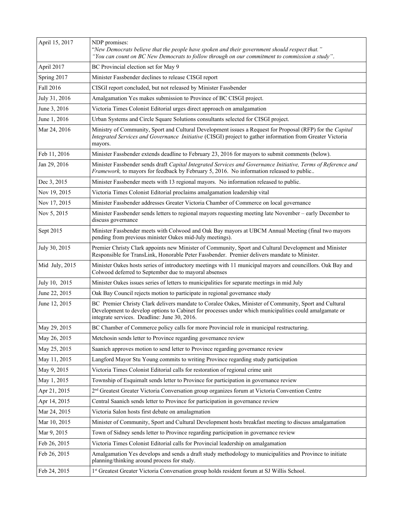| April 15, 2017 | NDP promises:<br>"New Democrats believe that the people have spoken and their government should respect that."<br>"You can count on BC New Democrats to follow through on our commitment to commission a study".                                                |
|----------------|-----------------------------------------------------------------------------------------------------------------------------------------------------------------------------------------------------------------------------------------------------------------|
| April 2017     | BC Provincial election set for May 9                                                                                                                                                                                                                            |
| Spring 2017    | Minister Fassbender declines to release CISGI report                                                                                                                                                                                                            |
| Fall 2016      | CISGI report concluded, but not released by Minister Fassbender                                                                                                                                                                                                 |
| July 31, 2016  | Amalgamation Yes makes submission to Province of BC CISGI project.                                                                                                                                                                                              |
| June 3, 2016   | Victoria Times Colonist Editorial urges direct approach on amalgamation                                                                                                                                                                                         |
| June 1, 2016   | Urban Systems and Circle Square Solutions consultants selected for CISGI project.                                                                                                                                                                               |
| Mar 24, 2016   | Ministry of Community, Sport and Cultural Development issues a Request for Proposal (RFP) for the Capital<br>Integrated Services and Governance Initiative (CISGI) project to gather information from Greater Victoria<br>mayors.                               |
| Feb 11, 2016   | Minister Fassbender extends deadline to February 23, 2016 for mayors to submit comments (below).                                                                                                                                                                |
| Jan 29, 2016   | Minister Fassbender sends draft Capital Integrated Services and Governance Initiative, Terms of Reference and<br>Framework, to mayors for feedback by February 5, 2016. No information released to public                                                       |
| Dec 3, 2015    | Minister Fassbender meets with 13 regional mayors. No information released to public.                                                                                                                                                                           |
| Nov 19, 2015   | Victoria Times Colonist Editorial proclaims amalgamation leadership vital                                                                                                                                                                                       |
| Nov 17, 2015   | Minister Fassbender addresses Greater Victoria Chamber of Commerce on local governance                                                                                                                                                                          |
| Nov 5, 2015    | Minister Fassbender sends letters to regional mayors requesting meeting late November – early December to<br>discuss governance                                                                                                                                 |
| Sept 2015      | Minister Fassbender meets with Colwood and Oak Bay mayors at UBCM Annual Meeting (final two mayors<br>pending from previous minister Oakes mid-July meetings).                                                                                                  |
| July 30, 2015  | Premier Christy Clark appoints new Minister of Community, Sport and Cultural Development and Minister<br>Responsible for TransLink, Honorable Peter Fassbender. Premier delivers mandate to Minister.                                                           |
| Mid July, 2015 | Minister Oakes hosts series of introductory meetings with 11 municipal mayors and councillors. Oak Bay and<br>Colwood deferred to September due to mayoral absenses                                                                                             |
| July 10, 2015  | Minister Oakes issues series of letters to municipalities for separate meetings in mid July                                                                                                                                                                     |
| June 22, 2015  | Oak Bay Council rejects motion to participate in regional governance study                                                                                                                                                                                      |
| June 12, 2015  | BC Premier Christy Clark delivers mandate to Coralee Oakes, Minister of Community, Sport and Cultural<br>Development to develop options to Cabinet for processes under which municipalities could amalgamate or<br>integrate services. Deadline: June 30, 2016. |
| May 29, 2015   | BC Chamber of Commerce policy calls for more Provincial role in municipal restructuring.                                                                                                                                                                        |
| May 26, 2015   | Metchosin sends letter to Province regarding governance review                                                                                                                                                                                                  |
| May 25, 2015   | Saanich approves motion to send letter to Province regarding governance review                                                                                                                                                                                  |
| May 11, 2015   | Langford Mayor Stu Young commits to writing Province regarding study participation                                                                                                                                                                              |
| May 9, 2015    | Victoria Times Colonist Editorial calls for restoration of regional crime unit                                                                                                                                                                                  |
| May 1, 2015    | Township of Esquimalt sends letter to Province for participation in governance review                                                                                                                                                                           |
| Apr 21, 2015   | 2 <sup>nd</sup> Greatest Greater Victoria Conversation group organizes forum at Victoria Convention Centre                                                                                                                                                      |
| Apr 14, 2015   | Central Saanich sends letter to Province for participation in governance review                                                                                                                                                                                 |
| Mar 24, 2015   | Victoria Salon hosts first debate on amalagmation                                                                                                                                                                                                               |
| Mar 10, 2015   | Minister of Community, Sport and Cultural Development hosts breakfast meeting to discuss amalgamation                                                                                                                                                           |
| Mar 9, 2015    | Town of Sidney sends letter to Province regarding participation in governance review                                                                                                                                                                            |
| Feb 26, 2015   | Victoria Times Colonist Editorial calls for Provincial leadership on amalgamation                                                                                                                                                                               |
| Feb 26, 2015   | Amalgamation Yes develops and sends a draft study methodology to municipalities and Province to initiate<br>planning/thinking around process for study.                                                                                                         |
| Feb 24, 2015   | 1st Greatest Greater Victoria Conversation group holds resident forum at SJ Willis School.                                                                                                                                                                      |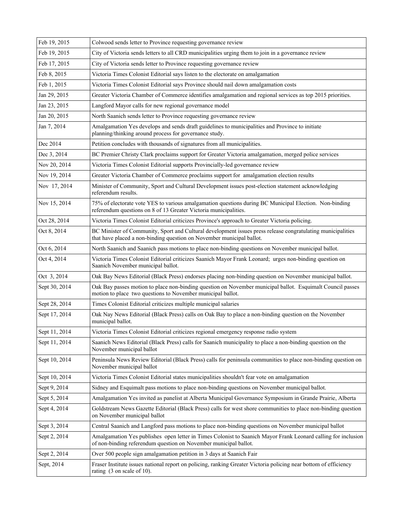| Feb 19, 2015  | Colwood sends letter to Province requesting governance review                                                                                                                        |
|---------------|--------------------------------------------------------------------------------------------------------------------------------------------------------------------------------------|
| Feb 19, 2015  | City of Victoria sends letters to all CRD municipalities urging them to join in a governance review                                                                                  |
| Feb 17, 2015  | City of Victoria sends letter to Province requesting governance review                                                                                                               |
| Feb 8, 2015   | Victoria Times Colonist Editorial says listen to the electorate on amalgamation                                                                                                      |
| Feb 1, 2015   | Victoria Times Colonist Editorial says Province should nail down amalgamation costs                                                                                                  |
| Jan 29, 2015  | Greater Victoria Chamber of Commerce identifies amalgamation and regional services as top 2015 priorities.                                                                           |
| Jan 23, 2015  | Langford Mayor calls for new regional governance model                                                                                                                               |
| Jan 20, 2015  | North Saanich sends letter to Province requesting governance review                                                                                                                  |
| Jan 7, 2014   | Amalgamation Yes develops and sends draft guidelines to municipalities and Province to initiate<br>planning/thinking around process for governance study.                            |
| Dec 2014      | Petition concludes with thousands of signatures from all municipalities.                                                                                                             |
| Dec 3, 2014   | BC Premier Christy Clark proclaims support for Greater Victoria amalgamation, merged police services                                                                                 |
| Nov 20, 2014  | Victoria Times Colonist Editorial supports Provincially-led governance review                                                                                                        |
| Nov 19, 2014  | Greater Victoria Chamber of Commerce proclaims support for amalgamation election results                                                                                             |
| Nov 17, 2014  | Minister of Community, Sport and Cultural Development issues post-election statement acknowledging<br>referendum results.                                                            |
| Nov 15, 2014  | 75% of electorate vote YES to various amalgamation questions during BC Municipal Election. Non-binding<br>referendum questions on 8 of 13 Greater Victoria municipalities.           |
| Oct 28, 2014  | Victoria Times Colonist Editorial criticizes Province's approach to Greater Victoria policing.                                                                                       |
| Oct 8, 2014   | BC Minister of Community, Sport and Cultural development issues press release congratulating municipalities<br>that have placed a non-binding question on November municipal ballot. |
| Oct 6, 2014   | North Saanich and Saanich pass motions to place non-binding questions on November municipal ballot.                                                                                  |
| Oct 4, 2014   | Victoria Times Colonist Editorial criticizes Saanich Mayor Frank Leonard; urges non-binding question on<br>Saanich November municipal ballot.                                        |
| Oct 3, 2014   | Oak Bay News Editorial (Black Press) endorses placing non-binding question on November municipal ballot.                                                                             |
| Sept 30, 2014 | Oak Bay passes motion to place non-binding question on November municipal ballot. Esquimalt Council passes<br>motion to place two questions to November municipal ballot.            |
| Sept 28, 2014 | Times Colonist Editorial criticizes multiple municipal salaries                                                                                                                      |
| Sept 17, 2014 | Oak Nay News Editorial (Black Press) calls on Oak Bay to place a non-binding question on the November<br>municipal ballot.                                                           |
| Sept 11, 2014 | Victoria Times Colonist Editorial criticizes regional emergency response radio system                                                                                                |
| Sept 11, 2014 | Saanich News Editorial (Black Press) calls for Saanich municipality to place a non-binding question on the<br>November municipal ballot                                              |
| Sept 10, 2014 | Peninsula News Review Editorial (Black Press) calls for peninsula communities to place non-binding question on<br>November municipal ballot                                          |
| Sept 10, 2014 | Victoria Times Colonist Editorial states municipalities shouldn't fear vote on amalgamation                                                                                          |
| Sept 9, 2014  | Sidney and Esquimalt pass motions to place non-binding questions on November municipal ballot.                                                                                       |
| Sept 5, 2014  | Amalgamation Yes invited as panelist at Alberta Municipal Governance Symposium in Grande Prairie, Alberta                                                                            |
| Sept 4, 2014  | Goldstream News Gazette Editorial (Black Press) calls for west shore communities to place non-binding question<br>on November municipal ballot                                       |
| Sept 3, 2014  | Central Saanich and Langford pass motions to place non-binding questions on November municipal ballot                                                                                |
| Sept 2, 2014  | Amalgamation Yes publishes open letter in Times Colonist to Saanich Mayor Frank Leonard calling for inclusion<br>of non-binding referendum question on November municipal ballot.    |
| Sept 2, 2014  | Over 500 people sign amalgamation petition in 3 days at Saanich Fair                                                                                                                 |
| Sept, 2014    | Fraser Institute issues national report on policing, ranking Greater Victoria policing near bottom of efficiency<br>rating $(3 \text{ on scale of } 10)$ .                           |